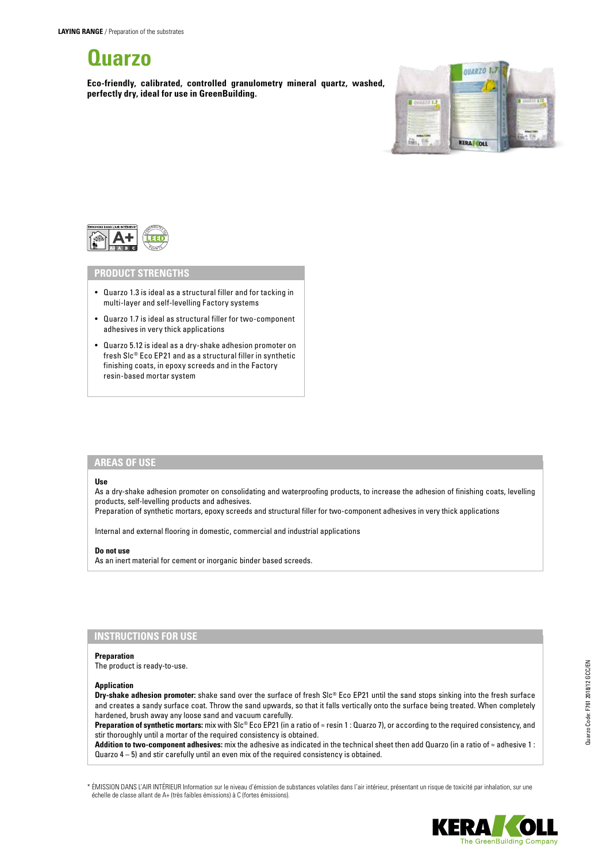# **Quarzo**

**Eco-friendly, calibrated, controlled granulometry mineral quartz, washed, perfectly dry, ideal for use in GreenBuilding.**





## **PRODUCT STRENGTHS**

- Quarzo 1.3 is ideal as a structural filler and for tacking in multi-layer and self-levelling Factory systems
- Quarzo 1.7 is ideal as structural filler for two-component adhesives in very thick applications
- Quarzo 5.12 is ideal as a dry-shake adhesion promoter on fresh Slc® Eco EP21 and as a structural filler in synthetic finishing coats, in epoxy screeds and in the Factory resin-based mortar system

# **AREAS OF USE**

### **Use**

As a dry-shake adhesion promoter on consolidating and waterproofing products, to increase the adhesion of finishing coats, levelling products, self-levelling products and adhesives.

Preparation of synthetic mortars, epoxy screeds and structural filler for two-component adhesives in very thick applications

Internal and external flooring in domestic, commercial and industrial applications

#### **Do not use**

As an inert material for cement or inorganic binder based screeds.

# **INSTRUCTIONS FOR USE**

## **Preparation**

The product is ready-to-use.

#### **Application**

**Dry-shake adhesion promoter:** shake sand over the surface of fresh Slc® Eco EP21 until the sand stops sinking into the fresh surface and creates a sandy surface coat. Throw the sand upwards, so that it falls vertically onto the surface being treated. When completely hardened, brush away any loose sand and vacuum carefully.

**Preparation of synthetic mortars:** mix with Slc® Eco EP21 (in a ratio of ≈ resin 1 : Quarzo 7), or according to the required consistency, and stir thoroughly until a mortar of the required consistency is obtained.

**Addition to two-component adhesives:** mix the adhesive as indicated in the technical sheet then add Quarzo (in a ratio of ≈ adhesive 1 : Quarzo 4 – 5) and stir carefully until an even mix of the required consistency is obtained.

\* ÉMISSION DANS L'AIR INTÉRIEUR Information sur le niveau d'émission de substances volatiles dans l'air intérieur, présentant un risque de toxicité par inhalation, sur une échelle de classe allant de A+ (très faibles émissions) à C (fortes émissions).